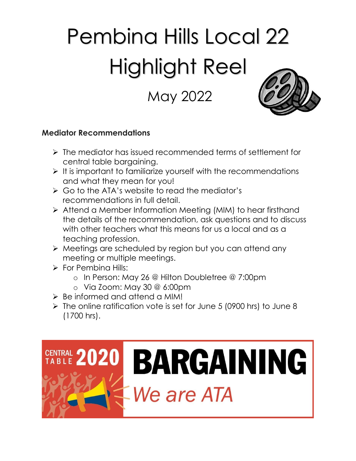# Pembina Hills Local 22 Highlight Reel

# May 2022



#### **Mediator Recommendations**

- ➢ The mediator has issued recommended terms of settlement for central table bargaining.
- ➢ It is important to familiarize yourself with the recommendations and what they mean for you!
- ➢ Go to the ATA's website to read the mediator's recommendations in full detail.
- ➢ Attend a Member Information Meeting (MIM) to hear firsthand the details of the recommendation, ask questions and to discuss with other teachers what this means for us a local and as a teaching profession.
- ➢ Meetings are scheduled by region but you can attend any meeting or multiple meetings.
- ➢ For Pembina Hills:
	- o In Person: May 26 @ Hilton Doubletree @ 7:00pm
	- o Via Zoom: May 30 @ 6:00pm
- ➢ Be informed and attend a MIM!
- ➢ The online ratification vote is set for June 5 (0900 hrs) to June 8 (1700 hrs).